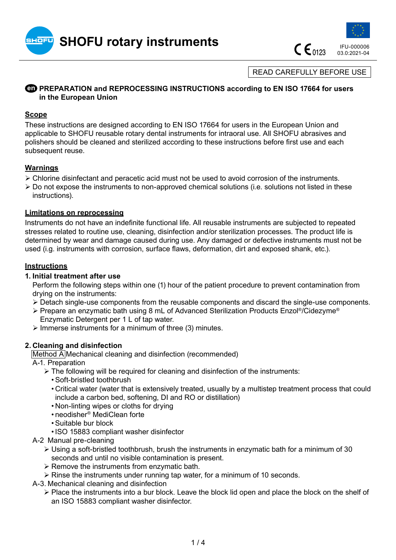



 $C \epsilon_{0123}$ 

03.0:2021-04

READ CAREFULLY BEFORE USE

# **<b>ED PREPARATION and REPROCESSING INSTRUCTIONS according to EN ISO 17664 for users in the European Union**

### **Scope**

These instructions are designed according to EN ISO 17664 for users in the European Union and applicable to SHOFU reusable rotary dental instruments for intraoral use. All SHOFU abrasives and polishers should be cleaned and sterilized according to these instructions before first use and each subsequent reuse.

# **Warnings**

- ¾ Chlorine disinfectant and peracetic acid must not be used to avoid corrosion of the instruments.
- $\triangleright$  Do not expose the instruments to non-approved chemical solutions (i.e. solutions not listed in these instructions).

#### **Limitations on reprocessing**

Instruments do not have an indefinite functional life. All reusable instruments are subjected to repeated stresses related to routine use, cleaning, disinfection and/or sterilization processes. The product life is determined by wear and damage caused during use. Any damaged or defective instruments must not be used (i.g. instruments with corrosion, surface flaws, deformation, dirt and exposed shank, etc.).

# **Instructions**

### **1. Initial treatment after use**

Perform the following steps within one (1) hour of the patient procedure to prevent contamination from drying on the instruments:

- ¾ Detach single-use components from the reusable components and discard the single-use components.
- ¾ Prepare an enzymatic bath using 8 mL of Advanced Sterilization Products Enzol®/Cidezyme® Enzymatic Detergent per 1 L of tap water.
- $\triangleright$  Immerse instruments for a minimum of three (3) minutes.

#### **2. Cleaning and disinfection**

Method A Mechanical cleaning and disinfection (recommended)

- A-1. Preparation
	- $\triangleright$  The following will be required for cleaning and disinfection of the instruments:
		- •Soft-bristled toothbrush
		- Critical water (water that is extensively treated, usually by a multistep treatment process that could include a carbon bed, softening, DI and RO or distillation)
		- Non-linting wipes or cloths for drying
		- neodisher® MediClean forte
		- •Suitable bur block
		- •ISO 15883 compliant washer disinfector
- A-2 Manual pre-cleaning
	- $\triangleright$  Using a soft-bristled toothbrush, brush the instruments in enzymatic bath for a minimum of 30 seconds and until no visible contamination is present.
	- $\triangleright$  Remove the instruments from enzymatic bath.
	- $\triangleright$  Rinse the instruments under running tap water, for a minimum of 10 seconds.
- A-3. Mechanical cleaning and disinfection
	- $\triangleright$  Place the instruments into a bur block. Leave the block lid open and place the block on the shelf of an ISO 15883 compliant washer disinfector.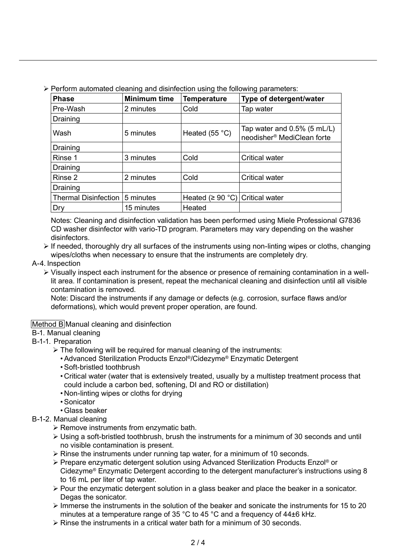|  |  |  |  | > Perform automated cleaning and disinfection using the following parameters: |
|--|--|--|--|-------------------------------------------------------------------------------|
|  |  |  |  |                                                                               |

| <b>Phase</b>                | <b>Minimum time</b> | <b>Temperature</b>                    | Type of detergent/water                                                  |
|-----------------------------|---------------------|---------------------------------------|--------------------------------------------------------------------------|
| Pre-Wash                    | 2 minutes           | Cold                                  | Tap water                                                                |
| Draining                    |                     |                                       |                                                                          |
| Wash                        | 5 minutes           | Heated $(55 °C)$                      | Tap water and $0.5\%$ (5 mL/L)<br>neodisher <sup>®</sup> MediClean forte |
| Draining                    |                     |                                       |                                                                          |
| Rinse 1                     | 3 minutes           | Cold                                  | <b>Critical water</b>                                                    |
| Draining                    |                     |                                       |                                                                          |
| Rinse 2                     | 2 minutes           | Cold                                  | <b>Critical water</b>                                                    |
| Draining                    |                     |                                       |                                                                          |
| <b>Thermal Disinfection</b> | 5 minutes           | Heated ( $\geq 90$ °C) Critical water |                                                                          |
| Dry                         | 15 minutes          | Heated                                |                                                                          |

Notes: Cleaning and disinfection validation has been performed using Miele Professional G7836 CD washer disinfector with vario-TD program. Parameters may vary depending on the washer disinfectors.

- $\triangleright$  If needed, thoroughly dry all surfaces of the instruments using non-linting wipes or cloths, changing wipes/cloths when necessary to ensure that the instruments are completely dry.
- A-4. Inspection
	- $\triangleright$  Visually inspect each instrument for the absence or presence of remaining contamination in a welllit area. If contamination is present, repeat the mechanical cleaning and disinfection until all visible contamination is removed.

Note: Discard the instruments if any damage or defects (e.g. corrosion, surface flaws and/or deformations), which would prevent proper operation, are found.

# Method B Manual cleaning and disinfection

- B-1. Manual cleaning
- B-1-1. Preparation
	- $\triangleright$  The following will be required for manual cleaning of the instruments:
		- •Advanced Sterilization Products Enzol®/Cidezyme® Enzymatic Detergent
		- •Soft-bristled toothbrush
		- Critical water (water that is extensively treated, usually by a multistep treatment process that could include a carbon bed, softening, DI and RO or distillation)
		- Non-linting wipes or cloths for drying
		- •Sonicator
		- Glass beaker
- B-1-2. Manual cleaning
	- $\triangleright$  Remove instruments from enzymatic bath.
	- $\triangleright$  Using a soft-bristled toothbrush, brush the instruments for a minimum of 30 seconds and until no visible contamination is present.
	- $\triangleright$  Rinse the instruments under running tap water, for a minimum of 10 seconds.
	- ¾ Prepare enzymatic detergent solution using Advanced Sterilization Products Enzol® or Cidezyme® Enzymatic Detergent according to the detergent manufacturer's instructions using 8 to 16 mL per liter of tap water.
	- $\triangleright$  Pour the enzymatic detergent solution in a glass beaker and place the beaker in a sonicator. Degas the sonicator.
	- $\triangleright$  Immerse the instruments in the solution of the beaker and sonicate the instruments for 15 to 20 minutes at a temperature range of 35 °C to 45 °C and a frequency of 44±6 kHz.
	- $\geq$  Rinse the instruments in a critical water bath for a minimum of 30 seconds.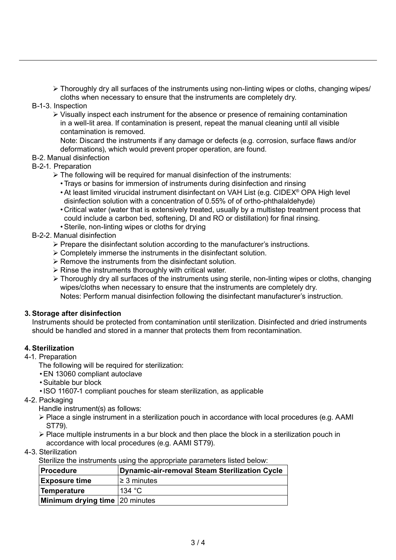¾ Thoroughly dry all surfaces of the instruments using non-linting wipes or cloths, changing wipes/ cloths when necessary to ensure that the instruments are completely dry.

- B-1-3. Inspection
	- ¾ Visually inspect each instrument for the absence or presence of remaining contamination in a well-lit area. If contamination is present, repeat the manual cleaning until all visible contamination is removed.

Note: Discard the instruments if any damage or defects (e.g. corrosion, surface flaws and/or deformations), which would prevent proper operation, are found.

- B-2. Manual disinfection
- B-2-1. Preparation
	- $\triangleright$  The following will be required for manual disinfection of the instruments:
		- Trays or basins for immersion of instruments during disinfection and rinsing
		- •At least limited virucidal instrument disinfectant on VAH List (e.g. CIDEX® OPA High level disinfection solution with a concentration of 0.55% of of ortho-phthalaldehyde)
		- Critical water (water that is extensively treated, usually by a multistep treatment process that could include a carbon bed, softening, DI and RO or distillation) for final rinsing.
		- •Sterile, non-linting wipes or cloths for drying
- B-2-2. Manual disinfection
	- $\triangleright$  Prepare the disinfectant solution according to the manufacturer's instructions.
	- $\triangleright$  Completely immerse the instruments in the disinfectant solution.
	- $\triangleright$  Remove the instruments from the disinfectant solution.
	- $\triangleright$  Rinse the instruments thoroughly with critical water.
	- ¾ Thoroughly dry all surfaces of the instruments using sterile, non-linting wipes or cloths, changing wipes/cloths when necessary to ensure that the instruments are completely dry. Notes: Perform manual disinfection following the disinfectant manufacturer's instruction.

#### **3. Storage after disinfection**

Instruments should be protected from contamination until sterilization. Disinfected and dried instruments should be handled and stored in a manner that protects them from recontamination.

#### **4. Sterilization**

4-1. Preparation

The following will be required for sterilization:

- •EN 13060 compliant autoclave
- •Suitable bur block
- •ISO 11607-1 compliant pouches for steam sterilization, as applicable
- 4-2. Packaging

Handle instrument(s) as follows:

- ¾ Place a single instrument in a sterilization pouch in accordance with local procedures (e.g. AAMI ST79).
- $\triangleright$  Place multiple instruments in a bur block and then place the block in a sterilization pouch in accordance with local procedures (e.g. AAMI ST79).
- 4-3. Sterilization

Sterilize the instruments using the appropriate parameters listed below:

| <b>Procedure</b>                      | <b>Dynamic-air-removal Steam Sterilization Cycle</b> |
|---------------------------------------|------------------------------------------------------|
| <b>Exposure time</b>                  | $\geq$ 3 minutes                                     |
| <b>Temperature</b>                    | 134 $\degree$ C                                      |
| <b>Minimum drying time</b> 20 minutes |                                                      |